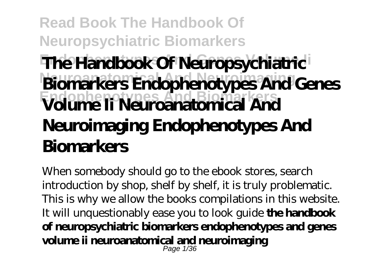# **Read Book The Handbook Of Neuropsychiatric Biomarkers The Handbook Of Neuropsychiatric Neuroanatomical And Neuroimaging Biomarkers Endophenotypes And Genes Endophenotypes And Biomarkers Volume Ii Neuroanatomical And Neuroimaging Endophenotypes And Biomarkers**

When somebody should go to the ebook stores, search introduction by shop, shelf by shelf, it is truly problematic. This is why we allow the books compilations in this website. It will unquestionably ease you to look guide **the handbook of neuropsychiatric biomarkers endophenotypes and genes volume ii neuroanatomical and neuroimaging** Page 1/36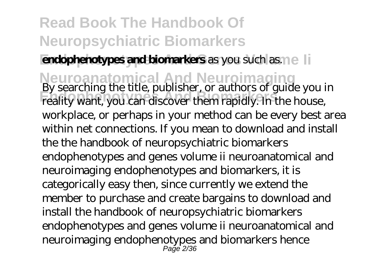#### **Endophenotypes and biomarkers** as you such as.  $\eta$  e

**Neuroanatomical And Neuroimaging** By searching the title, publisher, or authors of guide you in Endophenotics, passistics, or did Biographenotics, contains the set of states of states of states of the house, workplace, or perhaps in your method can be every best area within net connections. If you mean to download and install the the handbook of neuropsychiatric biomarkers endophenotypes and genes volume ii neuroanatomical and neuroimaging endophenotypes and biomarkers, it is categorically easy then, since currently we extend the member to purchase and create bargains to download and install the handbook of neuropsychiatric biomarkers endophenotypes and genes volume ii neuroanatomical and neuroimaging endophenotypes and biomarkers hence Page 2/36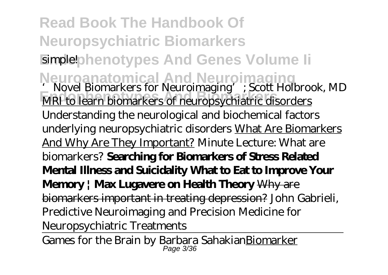**Read Book The Handbook Of Neuropsychiatric Biomarkers Eimple!**phenotypes And Genes Volume li Neuroanatomical And Neuroimaging<br>
<u>Scott Holbrook, MD</u><br>
Novel Biomarkers for Neuroimaging'; Scott Holbrook, MD **EXECUTE AND THE BIOMARKERS** OF TREADING AND AND AND MRI to learn biomarkers of neuropsychiatric disorders Understanding the neurological and biochemical factors underlying neuropsychiatric disorders What Are Biomarkers And Why Are They Important? *Minute Lecture: What are biomarkers?* **Searching for Biomarkers of Stress Related Mental Illness and Suicidality What to Eat to Improve Your Memory | Max Lugavere on Health Theory** Why are biomarkers important in treating depression? *John Gabrieli, Predictive Neuroimaging and Precision Medicine for Neuropsychiatric Treatments*

Games for the Brain by Barbara Sahakian<u>Biomarker</u>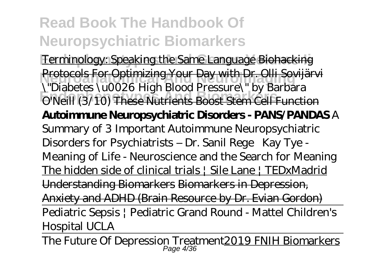Terminology: Speaking the Same Language Biohacking **Neuroanatomical And Neuroimaging** Protocols For Optimizing Your Day with Dr. Olli Sovijärvi **Chastles And Biomark Conditions**<br>
O'Neill (3/10) These Nutrients Boost Stem Cell Function \"Diabetes \u0026 High Blood Pressure\" by Barbara **Autoimmune Neuropsychiatric Disorders - PANS/PANDAS** *A Summary of 3 Important Autoimmune Neuropsychiatric Disorders for Psychiatrists – Dr. Sanil Rege* Kay Tye - Meaning of Life - Neuroscience and the Search for Meaning The hidden side of clinical trials | Sile Lane | TEDxMadrid Understanding Biomarkers Biomarkers in Depression, Anxiety and ADHD (Brain Resource by Dr. Evian Gordon) Pediatric Sepsis | Pediatric Grand Round - Mattel Children's Hospital UCLA

The Future Of Depression Treatment<u>2019 FNIH Biomarkers</u>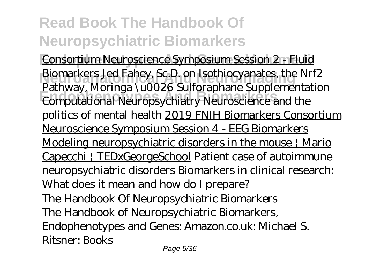**Consortium Neuroscience Symposium Session 2 - Fluid Biomarkers Jed Fahey, Sc.D. on Isothiocyanates, the Nrf2 Endophenoty**, *Endophenotely* Computational Neuropsychiatry Neuroscience and the Pathway, Moringa \u0026 Sulforaphane Supplementation politics of mental health 2019 FNIH Biomarkers Consortium Neuroscience Symposium Session 4 - EEG Biomarkers Modeling neuropsychiatric disorders in the mouse | Mario Capecchi | TEDxGeorgeSchool *Patient case of autoimmune neuropsychiatric disorders* Biomarkers in clinical research: What does it mean and how do I prepare?

The Handbook Of Neuropsychiatric Biomarkers The Handbook of Neuropsychiatric Biomarkers, Endophenotypes and Genes: Amazon.co.uk: Michael S. Ritsner: Books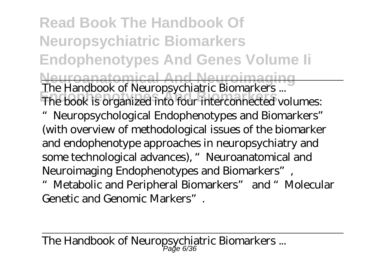**Read Book The Handbook Of Neuropsychiatric Biomarkers Endophenotypes And Genes Volume Ii Neuroanatomical And Neuroimaging** The Handbook of Neuropsychiatric Biomarkers ... The book is organized into four interconnected volumes: "Neuropsychological Endophenotypes and Biomarkers" (with overview of methodological issues of the biomarker and endophenotype approaches in neuropsychiatry and some technological advances), "Neuroanatomical and Neuroimaging Endophenotypes and Biomarkers", "Metabolic and Peripheral Biomarkers" and "Molecular Genetic and Genomic Markers".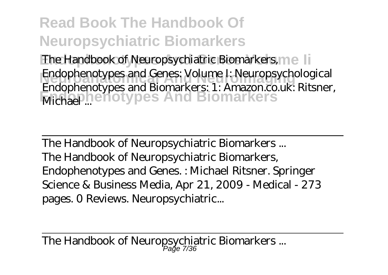The Handbook of Neuropsychiatric Biomarkers, mell **Endophenotypes and Genes: Volume I: Neuropsychological Michael ... Endophenotypes** And Biomarkers Endophenotypes and Biomarkers: 1: Amazon.co.uk: Ritsner,

The Handbook of Neuropsychiatric Biomarkers ... The Handbook of Neuropsychiatric Biomarkers, Endophenotypes and Genes. : Michael Ritsner. Springer Science & Business Media, Apr 21, 2009 - Medical - 273 pages. 0 Reviews. Neuropsychiatric...

The Handbook of Neuropsychiatric Biomarkers ... Page 7/36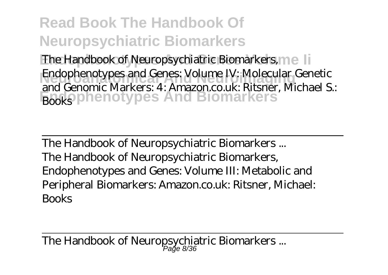The Handbook of Neuropsychiatric Biomarkers, mell Endophenotypes and Genes: Volume IV: Molecular Genetic **Endophenotypes And Biomarkers** Books and Genomic Markers: 4: Amazon.co.uk: Ritsner, Michael S.:

The Handbook of Neuropsychiatric Biomarkers ... The Handbook of Neuropsychiatric Biomarkers, Endophenotypes and Genes: Volume III: Metabolic and Peripheral Biomarkers: Amazon.co.uk: Ritsner, Michael: Books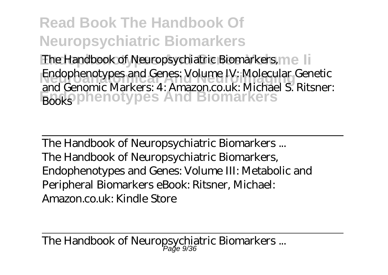The Handbook of Neuropsychiatric Biomarkers, mell Endophenotypes and Genes: Volume IV: Molecular Genetic **Endophenotypes And Biomarkers** Books and Genomic Markers: 4: Amazon.co.uk: Michael S. Ritsner:

The Handbook of Neuropsychiatric Biomarkers ... The Handbook of Neuropsychiatric Biomarkers, Endophenotypes and Genes: Volume III: Metabolic and Peripheral Biomarkers eBook: Ritsner, Michael: Amazon.co.uk: Kindle Store

The Handbook of Neuropsychiatric Biomarkers ... Page 9/36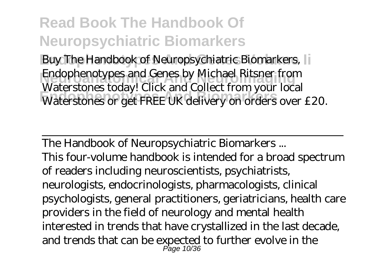**Buy The Handbook of Neuropsychiatric Biomarkers,** Endophenotypes and Genes by Michael Ritsner from Waterstones Cody: Sheri and Soncet Horry on orders over £20. Waterstones today! Click and Collect from your local

The Handbook of Neuropsychiatric Biomarkers ... This four-volume handbook is intended for a broad spectrum of readers including neuroscientists, psychiatrists, neurologists, endocrinologists, pharmacologists, clinical psychologists, general practitioners, geriatricians, health care providers in the field of neurology and mental health interested in trends that have crystallized in the last decade, and trends that can be expected to further evolve in the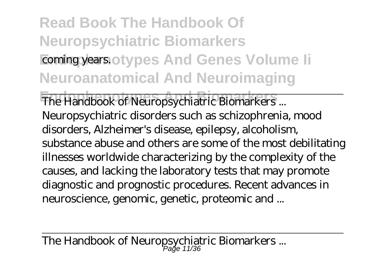# **Read Book The Handbook Of Neuropsychiatric Biomarkers Eoming years. otypes And Genes Volume li Neuroanatomical And Neuroimaging**

The Handbook of Neuropsychiatric Biomarkers ... Neuropsychiatric disorders such as schizophrenia, mood disorders, Alzheimer's disease, epilepsy, alcoholism, substance abuse and others are some of the most debilitating illnesses worldwide characterizing by the complexity of the causes, and lacking the laboratory tests that may promote diagnostic and prognostic procedures. Recent advances in neuroscience, genomic, genetic, proteomic and ...

The Handbook of Neuropsychiatric Biomarkers ...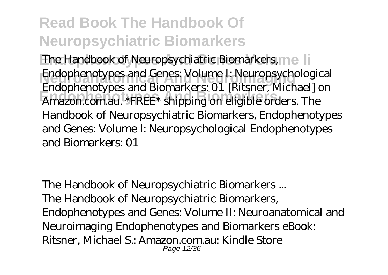The Handbook of Neuropsychiatric Biomarkers, mell **Endophenotypes and Genes: Volume I: Neuropsychological Endophenotypes And Biomarkers** Amazon.com.au. \*FREE\* shipping on eligible orders. The Endophenotypes and Biomarkers: 01 [Ritsner, Michael] on Handbook of Neuropsychiatric Biomarkers, Endophenotypes and Genes: Volume I: Neuropsychological Endophenotypes and Biomarkers: 01

The Handbook of Neuropsychiatric Biomarkers ... The Handbook of Neuropsychiatric Biomarkers, Endophenotypes and Genes: Volume II: Neuroanatomical and Neuroimaging Endophenotypes and Biomarkers eBook: Ritsner, Michael S.: Amazon.com.au: Kindle Store Page 12/36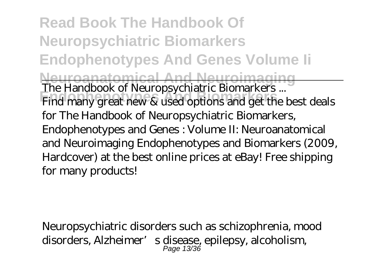**Read Book The Handbook Of Neuropsychiatric Biomarkers Endophenotypes And Genes Volume Ii Neuroanatomical And Neuroimaging** The Handbook of Neuropsychiatric Biomarkers ... Find many great new & used options and get the best deals for The Handbook of Neuropsychiatric Biomarkers, Endophenotypes and Genes : Volume II: Neuroanatomical and Neuroimaging Endophenotypes and Biomarkers (2009, Hardcover) at the best online prices at eBay! Free shipping for many products!

Neuropsychiatric disorders such as schizophrenia, mood disorders, Alzheimer's disease, epilepsy, alcoholism,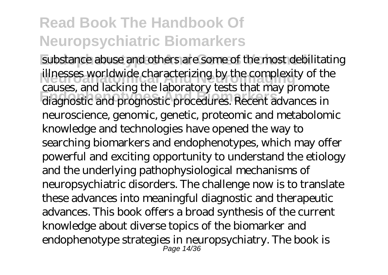substance abuse and others are some of the most debilitating illnesses worldwide characterizing by the complexity of the diagnostic and prognostic procedures. Recent advances in causes, and lacking the laboratory tests that may promote neuroscience, genomic, genetic, proteomic and metabolomic knowledge and technologies have opened the way to searching biomarkers and endophenotypes, which may offer powerful and exciting opportunity to understand the etiology and the underlying pathophysiological mechanisms of neuropsychiatric disorders. The challenge now is to translate these advances into meaningful diagnostic and therapeutic advances. This book offers a broad synthesis of the current knowledge about diverse topics of the biomarker and endophenotype strategies in neuropsychiatry. The book is Page 14/36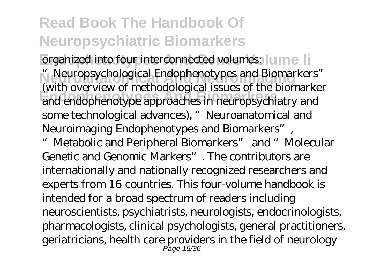organized into four interconnected volumes: I ume Ii **Neuroanatomical And Neuroimaging** "Neuropsychological Endophenotypes and Biomarkers" **Endophenotypes And Biomarkers** and endophenotype approaches in neuropsychiatry and (with overview of methodological issues of the biomarker some technological advances), "Neuroanatomical and Neuroimaging Endophenotypes and Biomarkers",

"Metabolic and Peripheral Biomarkers" and "Molecular Genetic and Genomic Markers". The contributors are internationally and nationally recognized researchers and experts from 16 countries. This four-volume handbook is intended for a broad spectrum of readers including neuroscientists, psychiatrists, neurologists, endocrinologists, pharmacologists, clinical psychologists, general practitioners, geriatricians, health care providers in the field of neurology Page 15/36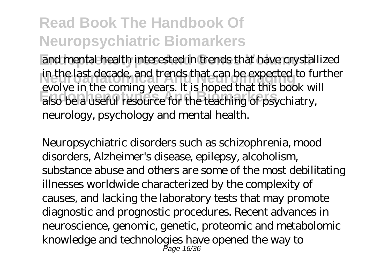and mental health interested in trends that have crystallized in the last decade, and trends that can be expected to further **Endophenotypes And Biomarkers** also be a useful resource for the teaching of psychiatry, evolve in the coming years. It is hoped that this book will neurology, psychology and mental health.

Neuropsychiatric disorders such as schizophrenia, mood disorders, Alzheimer's disease, epilepsy, alcoholism, substance abuse and others are some of the most debilitating illnesses worldwide characterized by the complexity of causes, and lacking the laboratory tests that may promote diagnostic and prognostic procedures. Recent advances in neuroscience, genomic, genetic, proteomic and metabolomic knowledge and technologies have opened the way to Page 16/36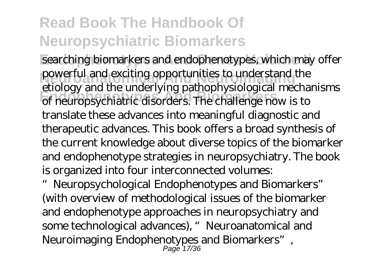searching biomarkers and endophenotypes, which may offer powerful and exciting opportunities to understand the **Endophenotypes And Biomarkers** of neuropsychiatric disorders. The challenge now is to etiology and the underlying pathophysiological mechanisms translate these advances into meaningful diagnostic and therapeutic advances. This book offers a broad synthesis of the current knowledge about diverse topics of the biomarker and endophenotype strategies in neuropsychiatry. The book is organized into four interconnected volumes:

"Neuropsychological Endophenotypes and Biomarkers" (with overview of methodological issues of the biomarker and endophenotype approaches in neuropsychiatry and some technological advances), "Neuroanatomical and Neuroimaging Endophenotypes and Biomarkers", Page 17/36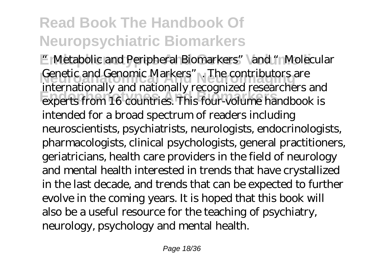**E** Metabolic and Peripheral Biomarkers" and "Molecular Genetic and Genomic Markers". The contributors are **Endophenotypes And Biomarkers** experts from 16 countries. This four-volume handbook is internationally and nationally recognized researchers and intended for a broad spectrum of readers including neuroscientists, psychiatrists, neurologists, endocrinologists, pharmacologists, clinical psychologists, general practitioners, geriatricians, health care providers in the field of neurology and mental health interested in trends that have crystallized in the last decade, and trends that can be expected to further evolve in the coming years. It is hoped that this book will also be a useful resource for the teaching of psychiatry, neurology, psychology and mental health.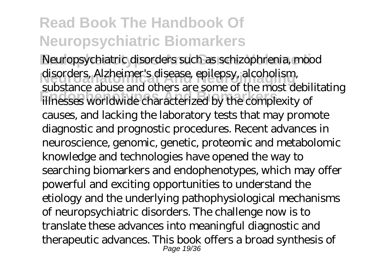Neuropsychiatric disorders such as schizophrenia, mood disorders, Alzheimer's disease, epilepsy, alcoholism, **Endophenotypes And Biomarkers** illnesses worldwide characterized by the complexity of substance abuse and others are some of the most debilitating causes, and lacking the laboratory tests that may promote diagnostic and prognostic procedures. Recent advances in neuroscience, genomic, genetic, proteomic and metabolomic knowledge and technologies have opened the way to searching biomarkers and endophenotypes, which may offer powerful and exciting opportunities to understand the etiology and the underlying pathophysiological mechanisms of neuropsychiatric disorders. The challenge now is to translate these advances into meaningful diagnostic and therapeutic advances. This book offers a broad synthesis of Page 19/36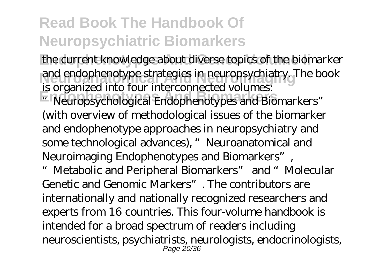the current knowledge about diverse topics of the biomarker and endophenotype strategies in neuropsychiatry. The book is organized into four interconnected volumes:

**Endophenotypes And Biomarkers** "Neuropsychological Endophenotypes and Biomarkers" (with overview of methodological issues of the biomarker and endophenotype approaches in neuropsychiatry and some technological advances), "Neuroanatomical and Neuroimaging Endophenotypes and Biomarkers",

"Metabolic and Peripheral Biomarkers" and "Molecular Genetic and Genomic Markers". The contributors are internationally and nationally recognized researchers and experts from 16 countries. This four-volume handbook is intended for a broad spectrum of readers including neuroscientists, psychiatrists, neurologists, endocrinologists, Page 20/36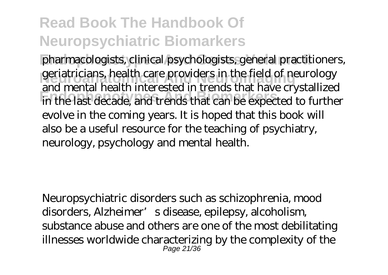pharmacologists, clinical psychologists, general practitioners, geriatricians, health care providers in the field of neurology **Endophenotypes And Biomarkers** in the last decade, and trends that can be expected to further and mental health interested in trends that have crystallized evolve in the coming years. It is hoped that this book will also be a useful resource for the teaching of psychiatry, neurology, psychology and mental health.

Neuropsychiatric disorders such as schizophrenia, mood disorders, Alzheimer's disease, epilepsy, alcoholism, substance abuse and others are one of the most debilitating illnesses worldwide characterizing by the complexity of the Page 21/36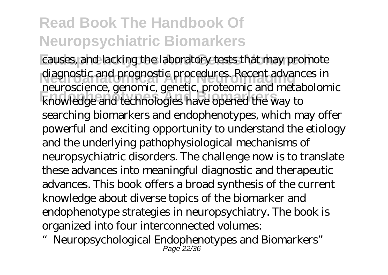causes, and lacking the laboratory tests that may promote diagnostic and prognostic procedures. Recent advances in **Endophenotypes And Biomarkers** knowledge and technologies have opened the way to neuroscience, genomic, genetic, proteomic and metabolomic searching biomarkers and endophenotypes, which may offer powerful and exciting opportunity to understand the etiology and the underlying pathophysiological mechanisms of neuropsychiatric disorders. The challenge now is to translate these advances into meaningful diagnostic and therapeutic advances. This book offers a broad synthesis of the current knowledge about diverse topics of the biomarker and endophenotype strategies in neuropsychiatry. The book is organized into four interconnected volumes:

"Neuropsychological Endophenotypes and Biomarkers" Page 22/36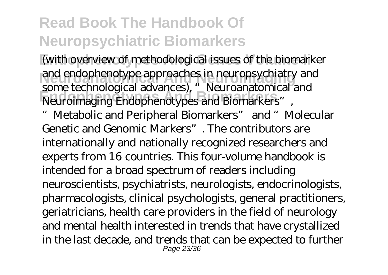(with overview of methodological issues of the biomarker and endophenotype approaches in neuropsychiatry and **Endophenotypes And Biomarkers** Neuroimaging Endophenotypes and Biomarkers", some technological advances), "Neuroanatomical and

Metabolic and Peripheral Biomarkers" and "Molecular Genetic and Genomic Markers". The contributors are internationally and nationally recognized researchers and experts from 16 countries. This four-volume handbook is intended for a broad spectrum of readers including neuroscientists, psychiatrists, neurologists, endocrinologists, pharmacologists, clinical psychologists, general practitioners, geriatricians, health care providers in the field of neurology and mental health interested in trends that have crystallized in the last decade, and trends that can be expected to further Page 23/36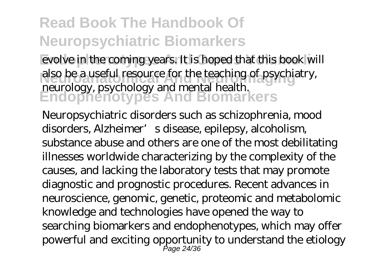evolve in the coming years. It is hoped that this book will also be a useful resource for the teaching of psychiatry, **Endophenotypes And Biomarkers** neurology, psychology and mental health.

Neuropsychiatric disorders such as schizophrenia, mood disorders, Alzheimer's disease, epilepsy, alcoholism, substance abuse and others are one of the most debilitating illnesses worldwide characterizing by the complexity of the causes, and lacking the laboratory tests that may promote diagnostic and prognostic procedures. Recent advances in neuroscience, genomic, genetic, proteomic and metabolomic knowledge and technologies have opened the way to searching biomarkers and endophenotypes, which may offer powerful and exciting opportunity to understand the etiology Page 24/36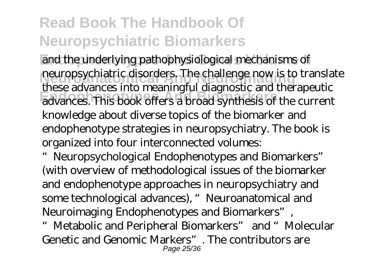and the underlying pathophysiological mechanisms of neuropsychiatric disorders. The challenge now is to translate **Endophenotypes And Biomarkers** advances. This book offers a broad synthesis of the current these advances into meaningful diagnostic and therapeutic knowledge about diverse topics of the biomarker and endophenotype strategies in neuropsychiatry. The book is organized into four interconnected volumes:

"Neuropsychological Endophenotypes and Biomarkers" (with overview of methodological issues of the biomarker and endophenotype approaches in neuropsychiatry and some technological advances), "Neuroanatomical and Neuroimaging Endophenotypes and Biomarkers",

"Metabolic and Peripheral Biomarkers" and "Molecular Genetic and Genomic Markers". The contributors are Page 25/36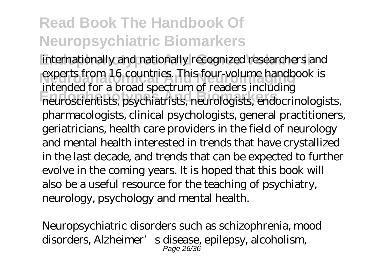internationally and nationally recognized researchers and experts from 16 countries. This four-volume handbook is **Endophenotypes And Biomarkers** neuroscientists, psychiatrists, neurologists, endocrinologists, intended for a broad spectrum of readers including pharmacologists, clinical psychologists, general practitioners, geriatricians, health care providers in the field of neurology and mental health interested in trends that have crystallized in the last decade, and trends that can be expected to further evolve in the coming years. It is hoped that this book will also be a useful resource for the teaching of psychiatry, neurology, psychology and mental health.

Neuropsychiatric disorders such as schizophrenia, mood disorders, Alzheimer's disease, epilepsy, alcoholism, Page 26/36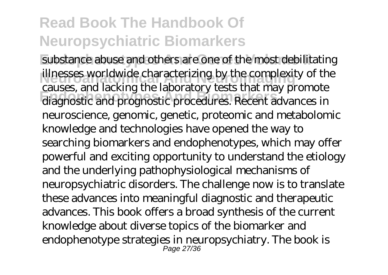substance abuse and others are one of the most debilitating illnesses worldwide characterizing by the complexity of the diagnostic and prognostic procedures. Recent advances in causes, and lacking the laboratory tests that may promote neuroscience, genomic, genetic, proteomic and metabolomic knowledge and technologies have opened the way to searching biomarkers and endophenotypes, which may offer powerful and exciting opportunity to understand the etiology and the underlying pathophysiological mechanisms of neuropsychiatric disorders. The challenge now is to translate these advances into meaningful diagnostic and therapeutic advances. This book offers a broad synthesis of the current knowledge about diverse topics of the biomarker and endophenotype strategies in neuropsychiatry. The book is Page 27/36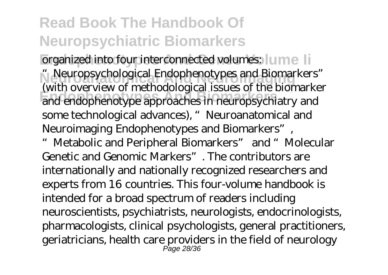organized into four interconnected volumes: I ume Ii **Neuroanatomical And Neuroimaging** "Neuropsychological Endophenotypes and Biomarkers" **Endophenotypes And Biomarkers** and endophenotype approaches in neuropsychiatry and (with overview of methodological issues of the biomarker some technological advances), "Neuroanatomical and Neuroimaging Endophenotypes and Biomarkers",

"Metabolic and Peripheral Biomarkers" and "Molecular Genetic and Genomic Markers". The contributors are internationally and nationally recognized researchers and experts from 16 countries. This four-volume handbook is intended for a broad spectrum of readers including neuroscientists, psychiatrists, neurologists, endocrinologists, pharmacologists, clinical psychologists, general practitioners, geriatricians, health care providers in the field of neurology Page 28/36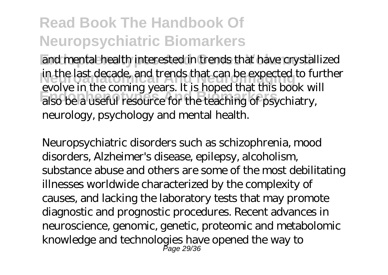and mental health interested in trends that have crystallized in the last decade, and trends that can be expected to further **Endophenotypes And Biomarkers** also be a useful resource for the teaching of psychiatry, evolve in the coming years. It is hoped that this book will neurology, psychology and mental health.

Neuropsychiatric disorders such as schizophrenia, mood disorders, Alzheimer's disease, epilepsy, alcoholism, substance abuse and others are some of the most debilitating illnesses worldwide characterized by the complexity of causes, and lacking the laboratory tests that may promote diagnostic and prognostic procedures. Recent advances in neuroscience, genomic, genetic, proteomic and metabolomic knowledge and technologies have opened the way to Page 29/36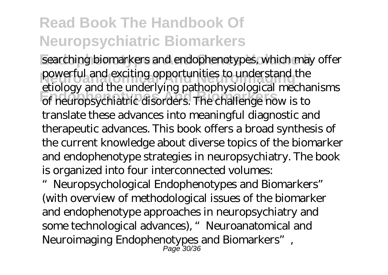searching biomarkers and endophenotypes, which may offer powerful and exciting opportunities to understand the **Endophenotypes And Biomarkers** of neuropsychiatric disorders. The challenge now is to etiology and the underlying pathophysiological mechanisms translate these advances into meaningful diagnostic and therapeutic advances. This book offers a broad synthesis of the current knowledge about diverse topics of the biomarker and endophenotype strategies in neuropsychiatry. The book is organized into four interconnected volumes:

"Neuropsychological Endophenotypes and Biomarkers" (with overview of methodological issues of the biomarker and endophenotype approaches in neuropsychiatry and some technological advances), "Neuroanatomical and Neuroimaging Endophenotypes and Biomarkers", Page 30/36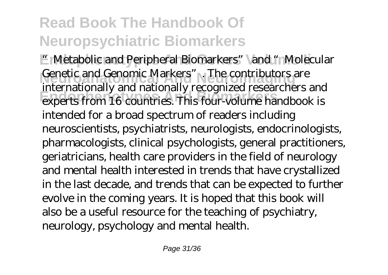**E** Metabolic and Peripheral Biomarkers" and "Molecular Genetic and Genomic Markers". The contributors are **Endophenotypes And Biomarkers** experts from 16 countries. This four-volume handbook is internationally and nationally recognized researchers and intended for a broad spectrum of readers including neuroscientists, psychiatrists, neurologists, endocrinologists, pharmacologists, clinical psychologists, general practitioners, geriatricians, health care providers in the field of neurology and mental health interested in trends that have crystallized in the last decade, and trends that can be expected to further evolve in the coming years. It is hoped that this book will also be a useful resource for the teaching of psychiatry, neurology, psychology and mental health.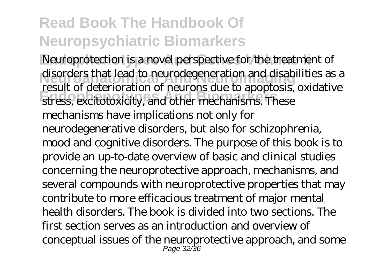Neuroprotection is a novel perspective for the treatment of disorders that lead to neurodegeneration and disabilities as a result of determination of health and the temperature. result of deterioration of neurons due to apoptosis, oxidative mechanisms have implications not only for neurodegenerative disorders, but also for schizophrenia, mood and cognitive disorders. The purpose of this book is to provide an up-to-date overview of basic and clinical studies concerning the neuroprotective approach, mechanisms, and several compounds with neuroprotective properties that may contribute to more efficacious treatment of major mental health disorders. The book is divided into two sections. The first section serves as an introduction and overview of conceptual issues of the neuroprotective approach, and some Page 32/36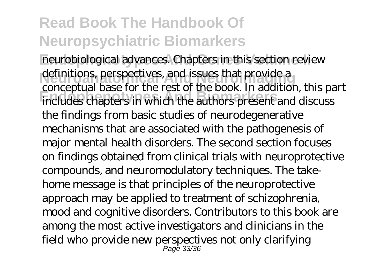neurobiological advances. Chapters in this section review definitions, perspectives, and issues that provide a **Endophenotypes And Biomarkers** includes chapters in which the authors present and discuss conceptual base for the rest of the book. In addition, this part the findings from basic studies of neurodegenerative mechanisms that are associated with the pathogenesis of major mental health disorders. The second section focuses on findings obtained from clinical trials with neuroprotective compounds, and neuromodulatory techniques. The takehome message is that principles of the neuroprotective approach may be applied to treatment of schizophrenia, mood and cognitive disorders. Contributors to this book are among the most active investigators and clinicians in the field who provide new perspectives not only clarifying Page 33/36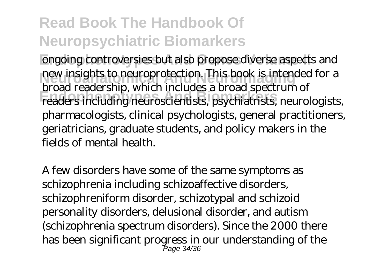ongoing controversies but also propose diverse aspects and new insights to neuroprotection. This book is intended for a **Endophenotypes And Biomarkers** readers including neuroscientists, psychiatrists, neurologists, broad readership, which includes a broad spectrum of pharmacologists, clinical psychologists, general practitioners, geriatricians, graduate students, and policy makers in the fields of mental health.

A few disorders have some of the same symptoms as schizophrenia including schizoaffective disorders, schizophreniform disorder, schizotypal and schizoid personality disorders, delusional disorder, and autism (schizophrenia spectrum disorders). Since the 2000 there has been significant progress in our understanding of the Page 34/36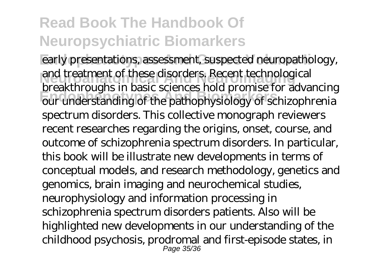early presentations, assessment, suspected neuropathology, and treatment of these disorders. Recent technological **Endophenotypes And Biomarkers** our understanding of the pathophysiology of schizophrenia breakthroughs in basic sciences hold promise for advancing spectrum disorders. This collective monograph reviewers recent researches regarding the origins, onset, course, and outcome of schizophrenia spectrum disorders. In particular, this book will be illustrate new developments in terms of conceptual models, and research methodology, genetics and genomics, brain imaging and neurochemical studies, neurophysiology and information processing in schizophrenia spectrum disorders patients. Also will be highlighted new developments in our understanding of the childhood psychosis, prodromal and first-episode states, in Page 35/36